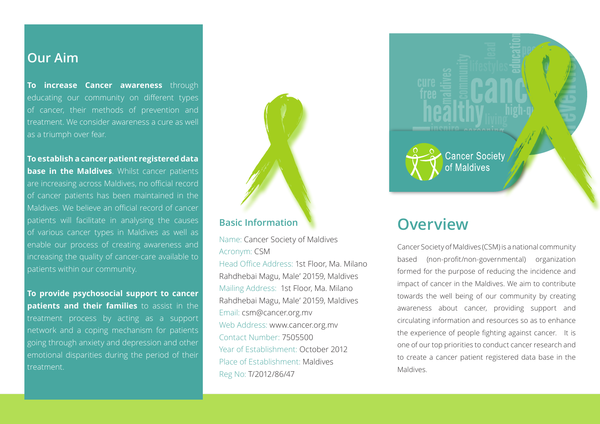## **Aim**

**To increase Cancer awareness** through educating our community on different types of cancer, their methods of prevention and treatment. We consider awareness a cure as well as a triumph over fear.

**To establish a cancer patient registered data base in the Maldives**. Whilst cancer patients are increasing across Maldives, no official record of cancer patients has been maintained in the Maldives. We believe an official record of cancer patients will facilitate in analysing the causes of various cancer types in Maldives as well as enable our process of creating awareness and increasing the quality of cancer-care available to patients within our community.

To provide psychosocial support to cancer **patients and their families** to assist in the treatment process by acting as a support network and a coping mechanism for patients going through anxiety and depression and other emotional disparities during the period of their treatment.



Name: Cancer Society of Maldives Acronym: CSM

Head Office Address: 1st Floor, Ma. Milano Rahdhebai Magu, Male' 20159, Maldives Mailing Address: 1st Floor, Ma. Milano Rahdhebai Magu, Male' 20159, Maldives Email: csm@cancer.org.mv Web Address: www.cancer.org.mv Contact Number: 7505500 Year of Establishment: October 2012 Place of Establishment: Maldives Reg No: T/2012/86/47

**Cancer Society** of Maldives

# **Overview**

Cancer Society of Maldives (CSM) is a national community based (non-profit/non-governmental) organization formed for the purpose of reducing the incidence and impact of cancer in the Maldives. We aim to contribute towards the well being of our community by creating awareness about cancer, providing support and circulating information and resources so as to enhance the experience of people fighting against cancer. It is one of our top priorities to conduct cancer research and to create a cancer patient registered data base in the .Maldives